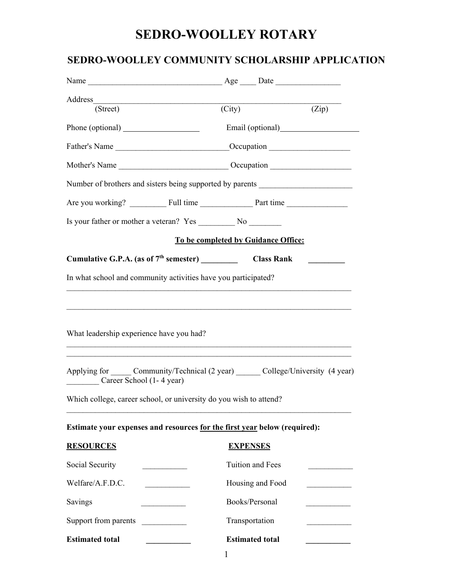## **SEDRO-WOOLLEY ROTARY**

### **SEDRO-WOOLLEY COMMUNITY SCHOLARSHIP APPLICATION**

| Address                                                                                                                                                                                                                                                                                                  |                            |       |
|----------------------------------------------------------------------------------------------------------------------------------------------------------------------------------------------------------------------------------------------------------------------------------------------------------|----------------------------|-------|
| (Street)                                                                                                                                                                                                                                                                                                 | $\overline{\text{(City)}}$ | (Zip) |
|                                                                                                                                                                                                                                                                                                          |                            |       |
| Father's Name ___________________________________Occupation _____________________                                                                                                                                                                                                                        |                            |       |
|                                                                                                                                                                                                                                                                                                          |                            |       |
| Number of brothers and sisters being supported by parents ______________________                                                                                                                                                                                                                         |                            |       |
|                                                                                                                                                                                                                                                                                                          |                            |       |
| Is your father or mother a veteran? Yes No No No                                                                                                                                                                                                                                                         |                            |       |
| To be completed by Guidance Office:                                                                                                                                                                                                                                                                      |                            |       |
|                                                                                                                                                                                                                                                                                                          |                            |       |
| In what school and community activities have you participated?                                                                                                                                                                                                                                           |                            |       |
| What leadership experience have you had?<br>,我们也不能在这里的人,我们也不能在这里的人,我们也不能在这里的人,我们也不能在这里的人,我们也不能在这里的人,我们也不能在这里的人,我们也不能在这里的人,我们也<br>Applying for Community/Technical (2 year) College/University (4 year)<br>Career School (1-4 year)<br>Which college, career school, or university do you wish to attend? |                            |       |
| Estimate your expenses and resources for the first year below (required):                                                                                                                                                                                                                                |                            |       |
| <b>RESOURCES</b>                                                                                                                                                                                                                                                                                         | <b>EXPENSES</b>            |       |
| Social Security                                                                                                                                                                                                                                                                                          | Tuition and Fees           |       |
| Welfare/A.F.D.C.                                                                                                                                                                                                                                                                                         | Housing and Food           |       |
| Savings                                                                                                                                                                                                                                                                                                  | Books/Personal             |       |
| Support from parents<br>$\overline{\phantom{a}}$                                                                                                                                                                                                                                                         | Transportation             |       |
| <b>Estimated total</b>                                                                                                                                                                                                                                                                                   | <b>Estimated total</b>     |       |
|                                                                                                                                                                                                                                                                                                          |                            |       |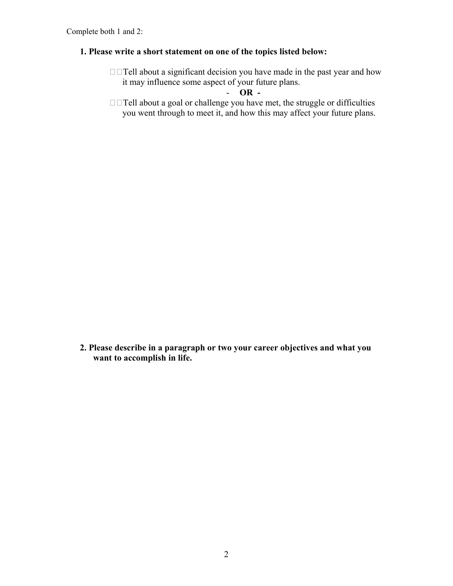#### **1. Please write a short statement on one of the topics listed below:**

 $\Box$   $\Box$  Tell about a significant decision you have made in the past year and how it may influence some aspect of your future plans.

- **OR -** 

 $\Box$  Tell about a goal or challenge you have met, the struggle or difficulties you went through to meet it, and how this may affect your future plans.

**2. Please describe in a paragraph or two your career objectives and what you want to accomplish in life.**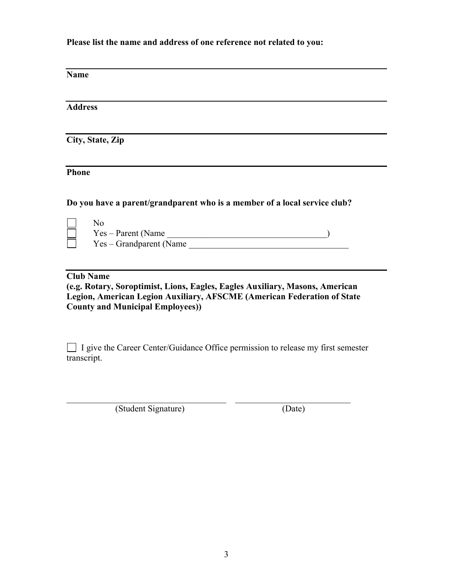**Please list the name and address of one reference not related to you:**

**Name**

**Address**

**City, State, Zip**

**Phone**

**Do you have a parent/grandparent who is a member of a local service club?**

No Yes – Parent (Name \_\_\_\_\_\_\_\_\_\_\_\_\_\_\_\_\_\_\_\_\_\_\_\_\_\_\_\_\_\_\_\_\_\_\_\_) Yes – Grandparent (Name \_\_\_\_\_\_\_\_\_\_\_\_\_\_\_\_\_\_\_\_\_\_\_\_\_\_\_\_\_\_\_\_\_\_\_\_

#### **Club Name**

**(e.g. Rotary, Soroptimist, Lions, Eagles, Eagles Auxiliary, Masons, American Legion, American Legion Auxiliary, AFSCME (American Federation of State County and Municipal Employees))** 

□ I give the Career Center/Guidance Office permission to release my first semester transcript.

(Student Signature) (Date)